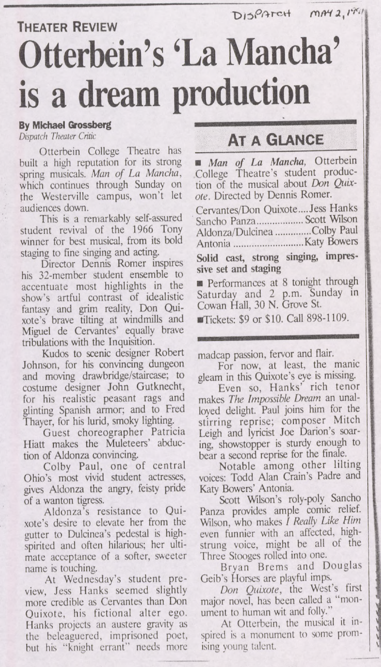DISPATCH MAY 2, 1941

## **Theater Review Otterbein's 'La Mancha is a dream production**

## By Michael Grossberg

*Dispatch Theater Critic*

Otterbein College Theatre has built a high reputation for its strong spring musicals. *Man of La Mancha,* which continues through Sunday on the Westerville campus, won't let audiences down.

This is a remarkably self-assured student revival of the 1966 Tony winner for best musical, from its bold staging to fine singing and acting.

Director Dennis Romer inspires his 32-member student ensemble to accentuate most highlights in the show's artful contrast of idealistic fantasy and grim reality, Don Quixote's brave tilting at windmills and Miguel de Cervantes' equally brave tribulations with the Inquisition.

Kudos to scenic designer Robert Johnson, for his convincing dungeon and moving drawbridge/staircase; to costume designer John Gutknecht, for his realistic peasant rags and glinting Spanish armor; and to Fred Thayer, for his lurid, smoky lighting.

Guest choreographer Patricia Hiatt makes the Muleteers' abduction of Aldonza convincing.

Colby Paul, one of central Ohio's most vivid student actresses, gives Aldonza the angry, feisty pride of a wanton tigress.

Aldonza's resistance to Quixote's desire to elevate her from the gutter to Dulcinea's pedestal is highspirited and often hilarious; her ultimate acceptance of a softer, sweeter name is touching.

At Wednesday's student preview, Jess Hanks seemed slightly more credible as Cervantes than Don Quixote, his fictional alter ego. Hanks projects an austere gravity as the beleaguered, imprisoned poet, but his "knight errant" needs more

## **At a Glance**

*Man of La Mancha,* Otterbein College Theatre's student production of the musical about *Don Quixote.* Directed by Dennis Romer.

Cervantes/Don Quixote....Jess Hanks Sancho Panza................. Scott Wilson Aldonza/Dulcinea............. Colby Paul Antonia...........................Katy Bowers

Solid cast, strong singing, impressive set and staging

**Performances** at 8 tonight through Saturday and 2 p.m. Sunday in Cowan Hall, 30 N. Grove St.

■Tickets: \$9 or \$10. Call 898-1109.

madcap passion, fervor and flair.

For now, at least, the manic gleam in this Quixote's eye is missing.

Even so. Hanks' rich tenor makes *The Impossible Dream* an unalloyed delight. Paul joins him for the stirring reprise; composer Mitch Leigh and lyricist Joe Darion's soaring, showstopper is sturdy enough to bear a second reprise for the finale.

Notable among other lilting voices; Todd Alan Crain's Padre and Katy Bowers' Antonia.

Scott Wilson's roly-poly Sancho Panza provides ample comic relief. WLson, who makes *I Really Like Him* even funnier with an affected, highstrung voice, might be all of the Three Stooges rolled into one.

Bryan Brcms and Douglas Geib's Horses are playful imps.

*Don Quixote,* the West's first major novel, has been called a "monument to human wit and folly."

At Otterbein, the musical it inspired is a monument to some promising young talent.